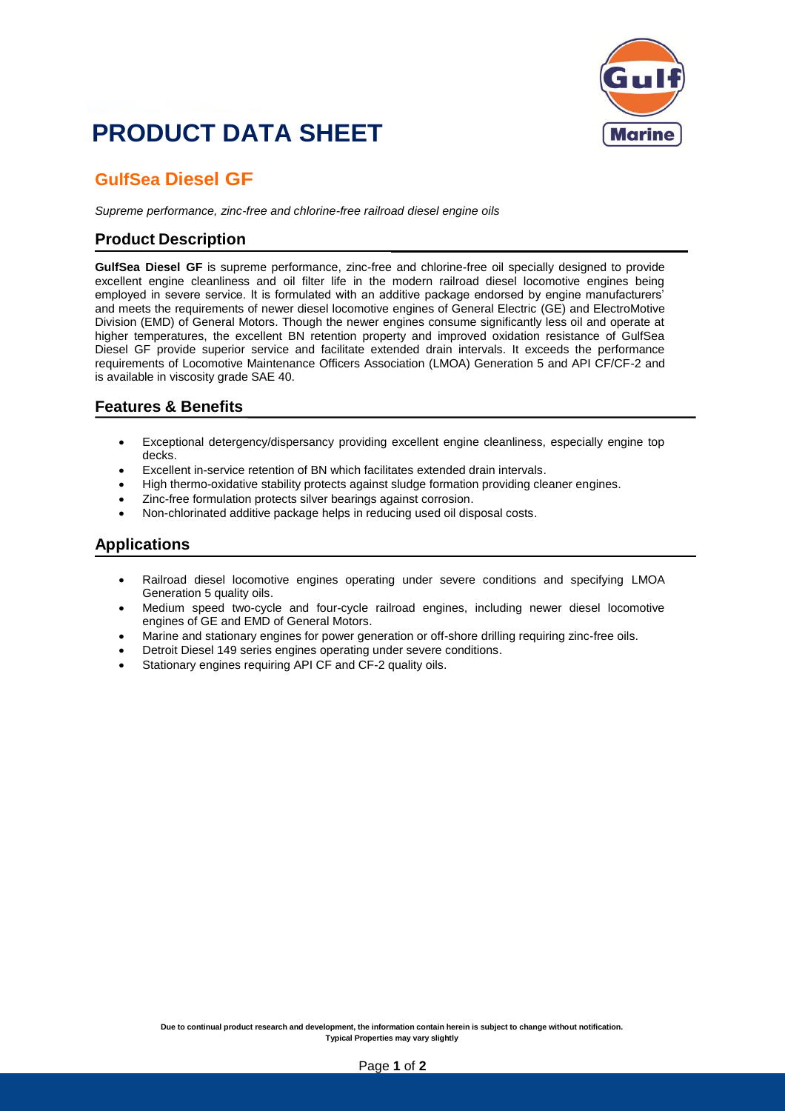## **PRODUCT DATA SHEET**



## **GulfSea Diesel GF**

*Supreme performance, zinc-free and chlorine-free railroad diesel engine oils*

#### **Product Description**

**GulfSea Diesel GF** is supreme performance, zinc-free and chlorine-free oil specially designed to provide excellent engine cleanliness and oil filter life in the modern railroad diesel locomotive engines being employed in severe service. It is formulated with an additive package endorsed by engine manufacturers' and meets the requirements of newer diesel locomotive engines of General Electric (GE) and ElectroMotive Division (EMD) of General Motors. Though the newer engines consume significantly less oil and operate at higher temperatures, the excellent BN retention property and improved oxidation resistance of GulfSea Diesel GF provide superior service and facilitate extended drain intervals. It exceeds the performance requirements of Locomotive Maintenance Officers Association (LMOA) Generation 5 and API CF/CF-2 and is available in viscosity grade SAE 40.

#### **Features & Benefits**

- Exceptional detergency/dispersancy providing excellent engine cleanliness, especially engine top decks.
- Excellent in-service retention of BN which facilitates extended drain intervals.
- High thermo-oxidative stability protects against sludge formation providing cleaner engines.
- Zinc-free formulation protects silver bearings against corrosion.
- Non-chlorinated additive package helps in reducing used oil disposal costs.

#### **Applications**

- Railroad diesel locomotive engines operating under severe conditions and specifying LMOA Generation 5 quality oils.
- Medium speed two-cycle and four-cycle railroad engines, including newer diesel locomotive engines of GE and EMD of General Motors.
- Marine and stationary engines for power generation or off-shore drilling requiring zinc-free oils.
- Detroit Diesel 149 series engines operating under severe conditions.
- Stationary engines requiring API CF and CF-2 quality oils.